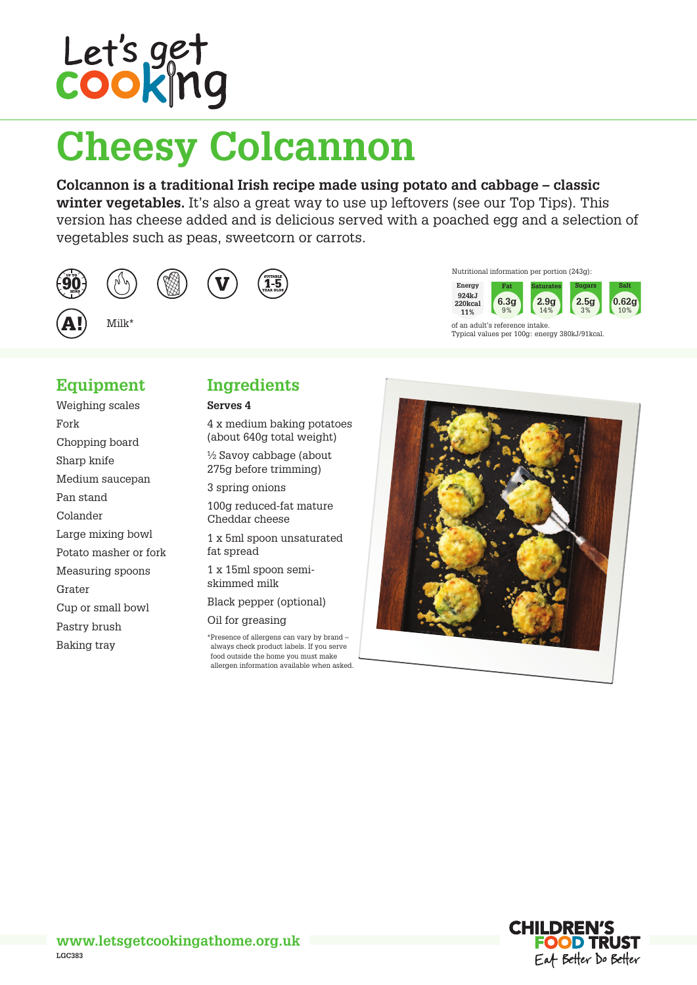

# **Cheesy Colcannon**

**Colcannon is a traditional Irish recipe made using potato and cabbage – classic winter vegetables.** It's also a great way to use up leftovers (see our Top Tips). This version has cheese added and is delicious served with a poached egg and a selection of vegetables such as peas, sweetcorn or carrots.









Milk\*

### **Equipment**

Weighing scales Fork Chopping board Sharp knife Medium saucepan Pan stand Colander Large mixing bowl Potato masher or fork Measuring spoons Grater Cup or small bowl Pastry brush Baking tray

### **Ingredients**

#### **Serves 4**

4 x medium baking potatoes (about 640g total weight)

½ Savoy cabbage (about 275g before trimming)

3 spring onions

100g reduced-fat mature Cheddar cheese

1 x 5ml spoon unsaturated fat spread

1 x 15ml spoon semiskimmed milk

Black pepper (optional)

Oil for greasing

\*Presence of allergens can vary by brand – always check product labels. If you serve food outside the home you must make allergen information available when asked.



Nutritional information per portion (243g):

Typical values per 100g: energy 380kJ/91kcal.

of an adult's reference intake.

**6.3g** 9%

**Energy 924kJ 220kcal 11%**

**Fat Saturates Sugars Salt**

**2.9g**  $14<sup>°</sup>$ 

**2.5g** 3%

**0.62g** 10%